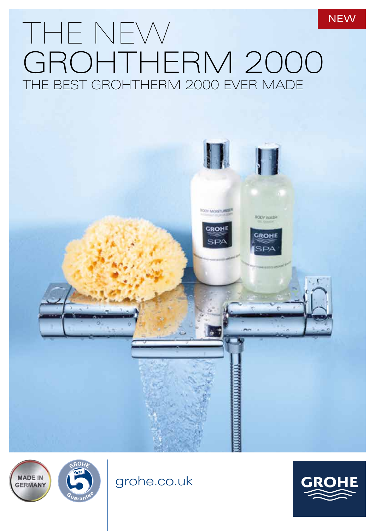## THE NEW GROHTHERM 2000 THE BEST GROHTHERM 2000 EVER MADE **NEW**







grohe.co.uk

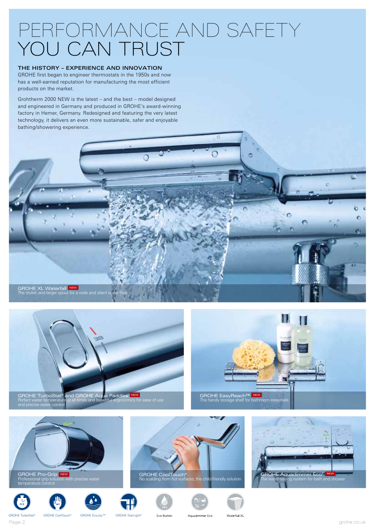## PERFORMANCE AND SAFETY YOU CAN TRUST

## THE HISTORY – EXPERIENCE AND INNOVATION

GROHE first began to engineer thermostats in the 1950s and now has a well-earned reputation for manufacturing the most efficient products on the market.

Grohtherm 2000 NEW is the latest – and the best – model designed and engineered in Germany and produced in GROHE's award-winning factory in Hemer, Germany. Redesigned and featuring the very latest technology, it delivers an even more sustainable, safer and enjoyable bathing/showering experience.





GROHE EasyReach™ NEW<br>The handy storage shelf for bathroom essentials

GROHE TurboStat® and GROHE Aq**u**a Paddles INEW<br>Perfect water temperature at all times and beautiful ergonomics for ease of use and precise water control



GROHE TurboStat® GROHE CoolTouch® GROHE EcoJoy™ GROHE StarLight®

Eco Buttor

Aquadimmer Eco

Waterfall XL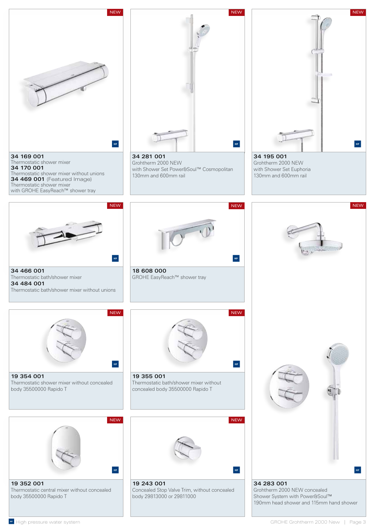